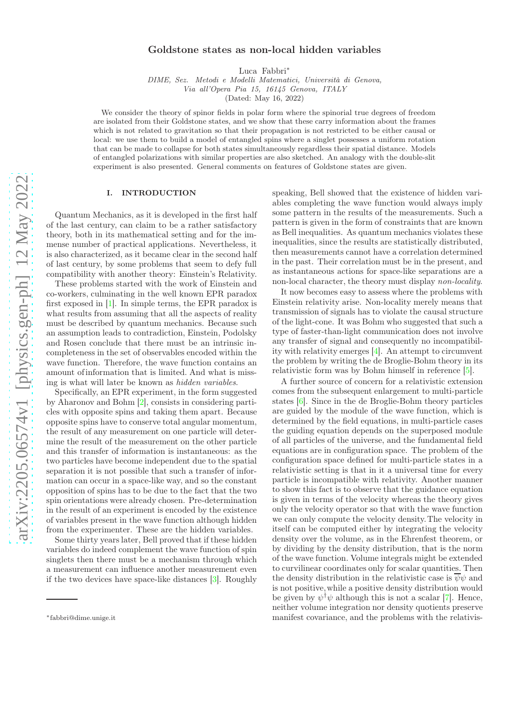# arXiv:2205.06574v1 [physics.gen-ph] 12 May 2022 [arXiv:2205.06574v1 \[physics.gen-ph\] 12 May 2022](http://arxiv.org/abs/2205.06574v1)

# Goldstone states as non-local hidden variables

Luca Fabbri<sup>∗</sup>

DIME, Sez. Metodi e Modelli Matematici, Università di Genova, Via all'Opera Pia 15, 16145 Genova, ITALY

(Dated: May 16, 2022)

We consider the theory of spinor fields in polar form where the spinorial true degrees of freedom are isolated from their Goldstone states, and we show that these carry information about the frames which is not related to gravitation so that their propagation is not restricted to be either causal or local: we use them to build a model of entangled spins where a singlet possesses a uniform rotation that can be made to collapse for both states simultaneously regardless their spatial distance. Models of entangled polarizations with similar properties are also sketched. An analogy with the double-slit experiment is also presented. General comments on features of Goldstone states are given.

# I. INTRODUCTION

Quantum Mechanics, as it is developed in the first half of the last century, can claim to be a rather satisfactory theory, both in its mathematical setting and for the immense number of practical applications. Nevertheless, it is also characterized, as it became clear in the second half of last century, by some problems that seem to defy full compatibility with another theory: Einstein's Relativity.

These problems started with the work of Einstein and co-workers, culminating in the well known EPR paradox first exposed in [\[1\]](#page-8-0). In simple terms, the EPR paradox is what results from assuming that all the aspects of reality must be described by quantum mechanics. Because such an assumption leads to contradiction, Einstein, Podolsky and Rosen conclude that there must be an intrinsic incompleteness in the set of observables encoded within the wave function. Therefore, the wave function contains an amount of information that is limited. And what is missing is what will later be known as hidden variables.

Specifically, an EPR experiment, in the form suggested by Aharonov and Bohm [\[2\]](#page-8-1), consists in considering particles with opposite spins and taking them apart. Because opposite spins have to conserve total angular momentum, the result of any measurement on one particle will determine the result of the measurement on the other particle and this transfer of information is instantaneous: as the two particles have become independent due to the spatial separation it is not possible that such a transfer of information can occur in a space-like way, and so the constant opposition of spins has to be due to the fact that the two spin orientations were already chosen. Pre-determination in the result of an experiment is encoded by the existence of variables present in the wave function although hidden from the experimenter. These are the hidden variables.

Some thirty years later, Bell proved that if these hidden variables do indeed complement the wave function of spin singlets then there must be a mechanism through which a measurement can influence another measurement even if the two devices have space-like distances [\[3](#page-8-2)]. Roughly speaking, Bell showed that the existence of hidden variables completing the wave function would always imply some pattern in the results of the measurements. Such a pattern is given in the form of constraints that are known as Bell inequalities. As quantum mechanics violates these inequalities, since the results are statistically distributed, then measurements cannot have a correlation determined in the past. Their correlation must be in the present, and as instantaneous actions for space-like separations are a non-local character, the theory must display non-locality.

It now becomes easy to assess where the problems with Einstein relativity arise. Non-locality merely means that transmission of signals has to violate the causal structure of the light-cone. It was Bohm who suggested that such a type of faster-than-light communication does not involve any transfer of signal and consequently no incompatibility with relativity emerges [\[4](#page-8-3)]. An attempt to circumvent the problem by writing the de Broglie-Bohm theory in its relativistic form was by Bohm himself in reference [\[5](#page-8-4)].

A further source of concern for a relativistic extension comes from the subsequent enlargement to multi-particle states [\[6](#page-8-5)]. Since in the de Broglie-Bohm theory particles are guided by the module of the wave function, which is determined by the field equations, in multi-particle cases the guiding equation depends on the superposed module of all particles of the universe, and the fundamental field equations are in configuration space. The problem of the configuration space defined for multi-particle states in a relativistic setting is that in it a universal time for every particle is incompatible with relativity. Another manner to show this fact is to observe that the guidance equation is given in terms of the velocity whereas the theory gives only the velocity operator so that with the wave function we can only compute the velocity density.The velocity in itself can be computed either by integrating the velocity density over the volume, as in the Ehrenfest theorem, or by dividing by the density distribution, that is the norm of the wave function. Volume integrals might be extended to curvilinear coordinates only for scalar quantities. Then the density distribution in the relativistic case is  $\overline{\psi}\psi$  and is not positive,while a positive density distribution would be given by  $\psi^{\dagger} \psi$  although this is not a scalar [\[7](#page-8-6)]. Hence, neither volume integration nor density quotients preserve manifest covariance, and the problems with the relativis-

<sup>∗</sup>fabbri@dime.unige.it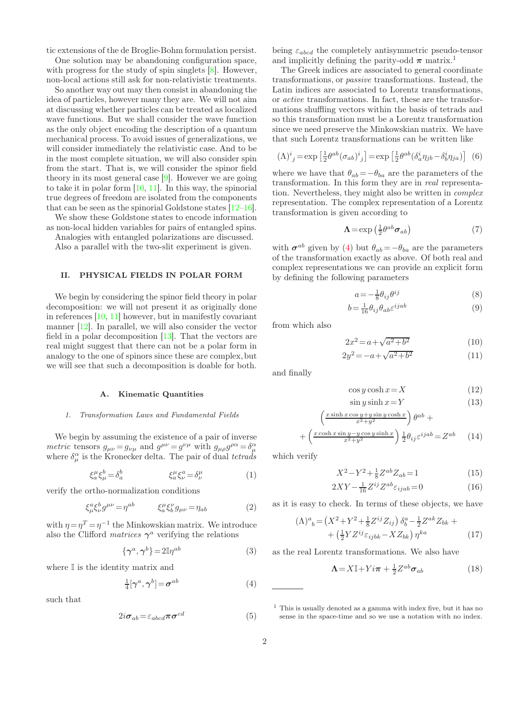tic extensions of the de Broglie-Bohm formulation persist.

One solution may be abandoning configuration space, with progress for the study of spin singlets [\[8\]](#page-8-7). However, non-local actions still ask for non-relativistic treatments.

So another way out may then consist in abandoning the idea of particles, however many they are. We will not aim at discussing whether particles can be treated as localized wave functions. But we shall consider the wave function as the only object encoding the description of a quantum mechanical process. To avoid issues of generalizations, we will consider immediately the relativistic case. And to be in the most complete situation, we will also consider spin from the start. That is, we will consider the spinor field theory in its most general case [\[9\]](#page-8-8). However we are going to take it in polar form  $[10, 11]$  $[10, 11]$  $[10, 11]$ . In this way, the spinorial true degrees of freedom are isolated from the components that can be seen as the spinorial Goldstone states [\[12](#page-8-11)[–16\]](#page-8-12).

We show these Goldstone states to encode information as non-local hidden variables for pairs of entangled spins.

Analogies with entangled polarizations are discussed. Also a parallel with the two-slit experiment is given.

# II. PHYSICAL FIELDS IN POLAR FORM

We begin by considering the spinor field theory in polar decomposition: we will not present it as originally done in references [\[10,](#page-8-9) [11\]](#page-8-10) however, but in manifestly covariant manner [\[12\]](#page-8-11). In parallel, we will also consider the vector field in a polar decomposition [\[13\]](#page-8-13). That the vectors are real might suggest that there can not be a polar form in analogy to the one of spinors since these are complex, but we will see that such a decomposition is doable for both.

## Kinematic Quantities

## 1. Transformation Laws and Fundamental Fields

We begin by assuming the existence of a pair of inverse metric tensors  $g_{\mu\nu} = g_{\nu\mu}$  and  $g^{\mu\nu} = g^{\nu\mu}$  with  $g_{\mu\rho}g^{\rho\alpha} = \delta^{\alpha}_{\mu}$ <br>where  $\delta^{\alpha}_{\mu}$  is the Kronecker delta. The pair of dual tetrads

$$
\xi_a^{\mu}\xi_{\mu}^{b} = \delta_a^b \qquad \qquad \xi_a^{\mu}\xi_{\nu}^{a} = \delta_{\nu}^{\mu} \qquad \qquad (1)
$$

verify the ortho-normalization conditions

$$
\xi^a_\mu \xi^b_\nu g^{\mu\nu} = \eta^{ab} \qquad \xi^\mu_a \xi^\nu_b g_{\mu\nu} = \eta_{ab} \tag{2}
$$

with  $\eta = \eta^T = \eta^{-1}$  the Minkowskian matrix. We introduce also the Clifford *matrices*  $\gamma^a$  verifying the relations

$$
\{\gamma^a, \gamma^b\} = 2\mathbb{I}\eta^{ab} \tag{3}
$$

where  $\mathbb I$  is the identity matrix and

<span id="page-1-0"></span>
$$
\frac{1}{4}[\gamma^a, \gamma^b] = \boldsymbol{\sigma}^{ab} \tag{4}
$$

such that

$$
2i\sigma_{ab} = \varepsilon_{abcd}\pi\sigma^{cd} \tag{5}
$$

being  $\varepsilon_{abcd}$  the completely antisymmetric pseudo-tensor and implicitly defining the parity-odd  $\pi$  matrix.<sup>1</sup>

The Greek indices are associated to general coordinate transformations, or passive transformations. Instead, the Latin indices are associated to Lorentz transformations, or active transformations. In fact, these are the transformations shuffling vectors within the basis of tetrads and so this transformation must be a Lorentz transformation since we need preserve the Minkowskian matrix. We have that such Lorentz transformations can be written like

$$
(\Lambda)^i{}_j = \exp\left[\frac{1}{2}\theta^{ab}(\sigma_{ab})^i{}_j\right] = \exp\left[\frac{1}{2}\theta^{ab}(\delta^i_a\eta_{jb} - \delta^i_b\eta_{ja})\right] \tag{6}
$$

where we have that  $\theta_{ab} = -\theta_{ba}$  are the parameters of the transformation. In this form they are in real representation. Nevertheless, they might also be written in complex representation. The complex representation of a Lorentz transformation is given according to

$$
\Lambda = \exp\left(\frac{1}{2}\theta^{ab}\sigma_{ab}\right) \tag{7}
$$

with  $\sigma^{ab}$  given by [\(4\)](#page-1-0) but  $\theta_{ab} = -\theta_{ba}$  are the parameters of the transformation exactly as above. Of both real and complex representations we can provide an explicit form by defining the following parameters

$$
a = -\frac{1}{8} \theta_{ij} \theta^{ij} \tag{8}
$$

$$
b = \frac{1}{16} \theta_{ij} \theta_{ab} \varepsilon^{ijab} \tag{9}
$$

from which also

$$
2x^2 = a + \sqrt{a^2 + b^2} \tag{10}
$$

$$
2y^2 = -a + \sqrt{a^2 + b^2} \tag{11}
$$

and finally

$$
\cos y \cosh x = X \tag{12}
$$

$$
\sin y \sinh x = Y \tag{13}
$$

$$
\left(\frac{x\sinh x \cos y + y\sin y \cosh x}{x^2 + y^2}\right)\theta^{ab} + \left(\frac{x\cosh x \sin y - y\cos y \sinh x}{x^2 + y^2}\right)\frac{1}{2}\theta_{ij}\varepsilon^{ijab} = Z^{ab} \qquad (14)
$$

which verify

 $+$ 

$$
X^2 - Y^2 + \frac{1}{8}Z^{ab}Z_{ab} = 1\tag{15}
$$

2

$$
2XY - \frac{1}{16}Z^{ij}Z^{ab}\varepsilon_{ijab} = 0\tag{16}
$$

as it is easy to check. In terms of these objects, we have

$$
(\Lambda)^{a}_{b} = \left(X^{2} + Y^{2} + \frac{1}{8}Z^{ij}Z_{ij}\right)\delta_{b}^{a} - \frac{1}{2}Z^{ak}Z_{bk} + + \left(\frac{1}{2}YZ^{ij}\varepsilon_{ijbk} - XZ_{bk}\right)\eta^{ka}
$$
 (17)

as the real Lorentz transformations. We also have

$$
\mathbf{\Lambda} = X \mathbb{I} + Y i \boldsymbol{\pi} + \frac{1}{2} Z^{ab} \boldsymbol{\sigma}_{ab} \tag{18}
$$

 $<sup>1</sup>$  This is usually denoted as a gamma with index five, but it has no</sup> sense in the space-time and so we use a notation with no index.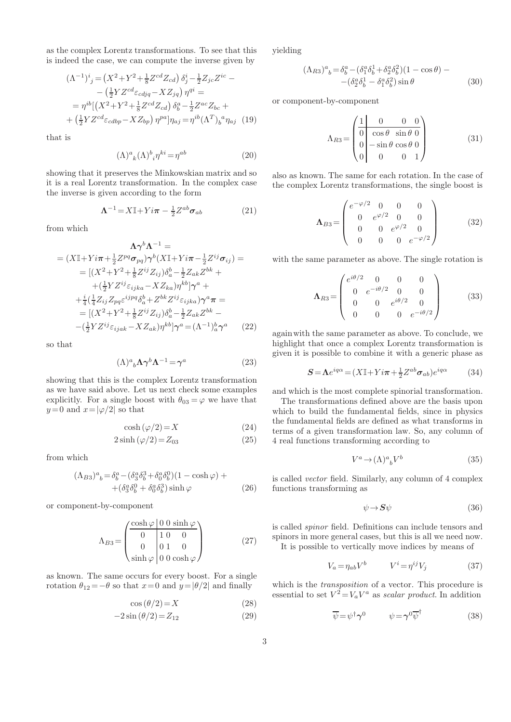as the complex Lorentz transformations. To see that this is indeed the case, we can compute the inverse given by

$$
(\Lambda^{-1})^i{}_j = (X^2 + Y^2 + \frac{1}{8}Z^{cd}Z_{cd}) \delta^i_j - \frac{1}{2}Z_{jc}Z^{ic} -
$$
  
\n
$$
- (\frac{1}{2}YZ^{cd}\varepsilon_{cdjq} - XZ_{jq}) \eta^{qi} =
$$
  
\n
$$
= \eta^{ib}[(X^2 + Y^2 + \frac{1}{8}Z^{cd}Z_{cd}) \delta^a_b - \frac{1}{2}Z^{ac}Z_{bc} +
$$
  
\n
$$
+ (\frac{1}{2}YZ^{cd}\varepsilon_{cdbp} - XZ_{bp}) \eta^{pa}]\eta_{aj} = \eta^{ib}(\Lambda^T)_b{}^a \eta_{aj} \quad (19)
$$

that is

$$
(\Lambda)^a{}_k(\Lambda)^b{}_i\eta^{ki} = \eta^{ab} \tag{20}
$$

showing that it preserves the Minkowskian matrix and so it is a real Lorentz transformation. In the complex case the inverse is given according to the form

$$
\mathbf{\Lambda}^{-1} = X \mathbb{I} + Y i \boldsymbol{\pi} - \frac{1}{2} Z^{ab} \boldsymbol{\sigma}_{ab} \tag{21}
$$

from which

$$
\Lambda \gamma^{b} \Lambda^{-1} =
$$
  
\n
$$
= (X\mathbb{I} + Yi\pi + \frac{1}{2}Z^{pq}\sigma_{pq})\gamma^{b}(X\mathbb{I} + Yi\pi - \frac{1}{2}Z^{ij}\sigma_{ij}) =
$$
  
\n
$$
= [(X^{2} + Y^{2} + \frac{1}{8}Z^{ij}Z_{ij})\delta_{a}^{b} - \frac{1}{2}Z_{ak}Z^{bk} +
$$
  
\n
$$
+ (\frac{1}{2}YZ^{ij}\varepsilon_{ijka} - XZ_{ka})\eta^{kb}]\gamma^{a} +
$$
  
\n
$$
+ \frac{i}{4}(\frac{1}{4}Z_{ij}Z_{pq}\varepsilon^{ijpq}\delta_{a}^{b} + Z^{bk}Z^{ij}\varepsilon_{ijka})\gamma^{a}\pi =
$$
  
\n
$$
= [(X^{2} + Y^{2} + \frac{1}{8}Z^{ij}Z_{ij})\delta_{a}^{b} - \frac{1}{2}Z_{ak}Z^{bk} -
$$
  
\n
$$
- (\frac{1}{2}YZ^{ij}\varepsilon_{ijak} - XZ_{ak})\eta^{kb}]\gamma^{a} = (\Lambda^{-1})_{a}^{b}\gamma^{a} \qquad (22)
$$

so that

$$
(\Lambda)^a{}_b \Lambda \gamma^b \Lambda^{-1} = \gamma^a \tag{23}
$$

showing that this is the complex Lorentz transformation as we have said above. Let us next check some examples explicitly. For a single boost with  $\theta_{03} = \varphi$  we have that  $y=0$  and  $x=|\varphi/2|$  so that

$$
\cosh\left(\varphi/2\right) = X\tag{24}
$$

$$
2\sinh\left(\varphi/2\right) = Z_{03} \tag{25}
$$

from which

$$
(\Lambda_{B3})^a{}_b = \delta^a_b - (\delta^a_3 \delta^3_b + \delta^a_0 \delta^0_b)(1 - \cosh \varphi) + + (\delta^a_3 \delta^0_b + \delta^a_0 \delta^3_b) \sinh \varphi
$$
 (26)

or component-by-component

$$
\Lambda_{B3} = \begin{pmatrix} \frac{\cosh \varphi & 0 & 0 \sinh \varphi}{1 & 0 & 0} \\ 0 & 1 & 0 & 0 \\ 0 & 0 & 1 & 0 \\ \sinh \varphi & 0 & 0 \cosh \varphi \end{pmatrix}
$$
 (27)

as known. The same occurs for every boost. For a single rotation  $\theta_{12} = -\theta$  so that  $x=0$  and  $y=|\theta/2|$  and finally

$$
\cos\left(\frac{\theta}{2}\right) = X\tag{28}
$$

$$
-2\sin\left(\frac{\theta}{2}\right) = Z_{12} \tag{29}
$$

yielding

$$
(\Lambda_{R3})^a{}_b = \delta^a_b - (\delta^a_1 \delta^1_b + \delta^a_2 \delta^2_b)(1 - \cos \theta) - - (\delta^a_2 \delta^1_b - \delta^a_1 \delta^2_b) \sin \theta
$$
 (30)

or component-by-component

$$
\Lambda_{R3} = \begin{pmatrix} 1 & 0 & 0 & 0 \\ 0 & \cos \theta & \sin \theta & 0 \\ 0 & -\sin \theta & \cos \theta & 0 \\ 0 & 0 & 0 & 1 \end{pmatrix}
$$
(31)

also as known. The same for each rotation. In the case of the complex Lorentz transformations, the single boost is

$$
\mathbf{\Lambda}_{B3} = \begin{pmatrix} e^{-\varphi/2} & 0 & 0 & 0 \\ 0 & e^{\varphi/2} & 0 & 0 \\ 0 & 0 & e^{\varphi/2} & 0 \\ 0 & 0 & 0 & e^{-\varphi/2} \end{pmatrix}
$$
 (32)

with the same parameter as above. The single rotation is

$$
\mathbf{\Lambda}_{R3} = \begin{pmatrix} e^{i\theta/2} & 0 & 0 & 0 \\ 0 & e^{-i\theta/2} & 0 & 0 \\ 0 & 0 & e^{i\theta/2} & 0 \\ 0 & 0 & 0 & e^{-i\theta/2} \end{pmatrix}
$$
 (33)

againwith the same parameter as above. To conclude, we highlight that once a complex Lorentz transformation is given it is possible to combine it with a generic phase as

$$
S = \Lambda e^{iq\alpha} = (X\mathbb{I} + Yi\pi + \frac{1}{2}Z^{ab}\sigma_{ab})e^{iq\alpha} \tag{34}
$$

and which is the most complete spinorial transformation.

The transformations defined above are the basis upon which to build the fundamental fields, since in physics the fundamental fields are defined as what transforms in terms of a given transformation law. So, any column of 4 real functions transforming according to

$$
V^a \to (\Lambda)^a{}_b V^b \tag{35}
$$

is called vector field. Similarly, any column of 4 complex functions transforming as

$$
\psi \to S\psi \tag{36}
$$

is called spinor field. Definitions can include tensors and spinors in more general cases, but this is all we need now. It is possible to vertically move indices by means of

$$
V_a = \eta_{ab} V^b \qquad V^i = \eta^{ij} V_j \tag{37}
$$

which is the *transposition* of a vector. This procedure is essential to set  $V^2 = V_a V^a$  as scalar product. In addition

$$
\overline{\psi} = \psi^{\dagger} \gamma^{0} \qquad \psi = \gamma^{0} \overline{\psi}^{\dagger} \qquad (38)
$$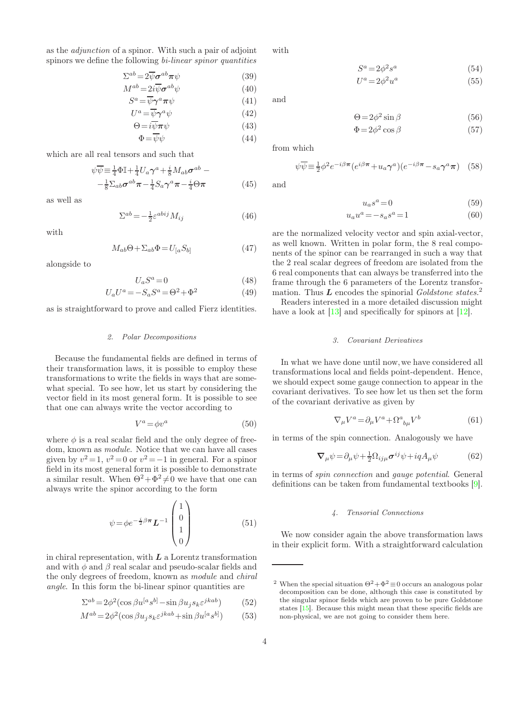as the adjunction of a spinor. With such a pair of adjoint spinors we define the following bi-linear spinor quantities

$$
\Sigma^{ab} = 2\overline{\psi}\sigma^{ab}\pi\psi\tag{39}
$$

$$
M^{ab} = 2i\overline{\psi}\sigma^{ab}\psi
$$
 (40)

$$
S^a = \overline{\psi}\gamma^a \pi \psi \tag{41}
$$

$$
U^{a} = \overline{\psi}\gamma^{a}\psi
$$
 (42)  
\n
$$
\Theta = i\overline{\psi}\pi\psi
$$
 (43)

$$
\Phi = \overline{\psi}\psi \tag{44}
$$

$$
\mathbf{r} = \mathbf{r} \mathbf{v}
$$

which are all real tensors and such that

 $\overline{1}$ 

11

$$
\psi \overline{\psi} = \frac{1}{4} \Phi \mathbb{I} + \frac{1}{4} U_a \gamma^a + \frac{i}{8} M_{ab} \sigma^{ab} -
$$
  

$$
-\frac{1}{8} \Sigma_{ab} \sigma^{ab} \pi - \frac{1}{4} S_a \gamma^a \pi - \frac{i}{4} \Theta \pi
$$
 (45)

as well as

$$
\Sigma^{ab} = -\frac{1}{2} \varepsilon^{abij} M_{ij} \tag{46}
$$

with

$$
M_{ab}\Theta + \Sigma_{ab}\Phi = U_{[a}S_{b]}
$$
 (47)

alongside to

$$
U_a S^a = 0 \tag{48}
$$

$$
U_a U^a = -S_a S^a = \Theta^2 + \Phi^2 \tag{49}
$$

as is straightforward to prove and called Fierz identities.

# 2. Polar Decompositions

Because the fundamental fields are defined in terms of their transformation laws, it is possible to employ these transformations to write the fields in ways that are somewhat special. To see how, let us start by considering the vector field in its most general form. It is possible to see that one can always write the vector according to

$$
V^a = \phi v^a \tag{50}
$$

where  $\phi$  is a real scalar field and the only degree of freedom, known as module. Notice that we can have all cases given by  $v^2 = 1$ ,  $v^2 = 0$  or  $v^2 = -1$  in general. For a spinor field in its most general form it is possible to demonstrate a similar result. When  $\Theta^2 + \Phi^2 \neq 0$  we have that one can always write the spinor according to the form

<span id="page-3-0"></span>
$$
\psi = \phi e^{-\frac{i}{2}\beta\pi} L^{-1} \begin{pmatrix} 1 \\ 0 \\ 1 \\ 0 \end{pmatrix}
$$
 (51)

in chiral representation, with  $L$  a Lorentz transformation and with  $\phi$  and  $\beta$  real scalar and pseudo-scalar fields and the only degrees of freedom, known as module and chiral angle. In this form the bi-linear spinor quantities are

$$
\Sigma^{ab} = 2\phi^2(\cos\beta u^{[a} s^{b]} - \sin\beta u_j s_k \varepsilon^{jkab})
$$
 (52)

$$
M^{ab} = 2\phi^2(\cos\beta u_j s_k \varepsilon^{jkab} + \sin\beta u^{[a} s^{b]})
$$
 (53)

with

and

$$
\Theta = 2\phi^2 \sin \beta \tag{56}
$$

$$
\Phi = 2\phi^2 \cos \beta \tag{57}
$$

(54)

(55)

from which

$$
\psi \overline{\psi} = \frac{1}{2} \phi^2 e^{-i\beta \pi} (e^{i\beta \pi} + u_a \gamma^a)(e^{-i\beta \pi} - s_a \gamma^a \pi) \quad (58)
$$

 $S^a = 2\phi^2 s^a$ 

 $U^a = 2\phi^2 u^a$ 

and

$$
u_a s^a = 0 \tag{59}
$$

$$
u_a u^a = -s_a s^a = 1 \tag{60}
$$

are the normalized velocity vector and spin axial-vector, as well known. Written in polar form, the 8 real components of the spinor can be rearranged in such a way that the 2 real scalar degrees of freedom are isolated from the 6 real components that can always be transferred into the frame through the 6 parameters of the Lorentz transformation. Thus  $\vec{L}$  encodes the spinorial Goldstone states.<sup>2</sup>

Readers interested in a more detailed discussion might have a look at [\[13\]](#page-8-13) and specifically for spinors at [\[12\]](#page-8-11).

# 3. Covariant Derivatives

In what we have done until now,we have considered all transformations local and fields point-dependent. Hence, we should expect some gauge connection to appear in the covariant derivatives. To see how let us then set the form of the covariant derivative as given by

$$
\nabla_{\mu}V^{a} = \partial_{\mu}V^{a} + \Omega^{a}{}_{b\mu}V^{b} \tag{61}
$$

in terms of the spin connection. Analogously we have

$$
\nabla_{\mu}\psi = \partial_{\mu}\psi + \frac{1}{2}\Omega_{ij\mu}\sigma^{ij}\psi + iqA_{\mu}\psi
$$
 (62)

in terms of spin connection and gauge potential. General definitions can be taken from fundamental textbooks [\[9\]](#page-8-8).

# 4. Tensorial Connections

We now consider again the above transformation laws in their explicit form. With a straightforward calculation

<sup>&</sup>lt;sup>2</sup> When the special situation  $\Theta^2 + \Phi^2 \equiv 0$  occurs an analogous polar decomposition can be done, although this case is constituted by the singular spinor fields which are proven to be pure Goldstone states [\[15\]](#page-8-14). Because this might mean that these specific fields are non-physical, we are not going to consider them here.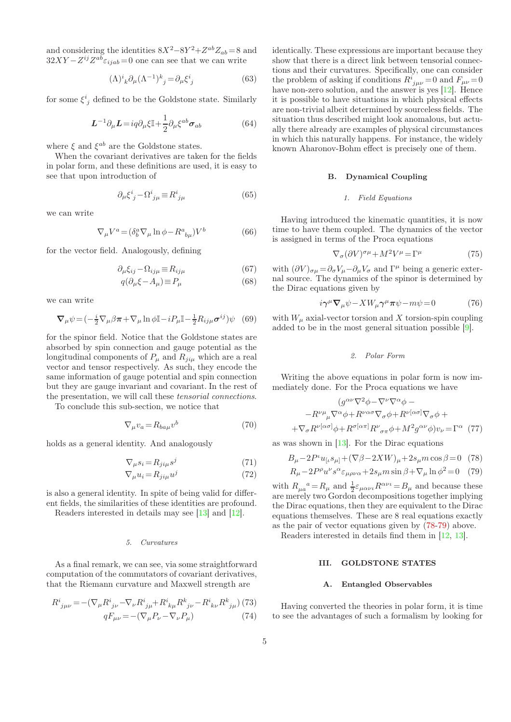and considering the identities  $8X^2 - 8Y^2 + Z^{ab}Z_{ab} = 8$  and  $32XY - Z^{ij}Z^{ab}\varepsilon_{ijab} = 0$  one can see that we can write

$$
(\Lambda)^i_{\ k}\partial_\mu (\Lambda^{-1})^k_{\ j} = \partial_\mu \xi^i_{\ j} \tag{63}
$$

for some  $\xi^i_{\ j}$  defined to be the Goldstone state. Similarly

<span id="page-4-2"></span>
$$
L^{-1}\partial_{\mu}L = iq\partial_{\mu}\xi\mathbb{I} + \frac{1}{2}\partial_{\mu}\xi^{ab}\sigma_{ab}
$$
 (64)

where  $\xi$  and  $\xi^{ab}$  are the Goldstone states.

When the covariant derivatives are taken for the fields in polar form, and these definitions are used, it is easy to see that upon introduction of

$$
\partial_{\mu}\xi^{i}_{\ j} - \Omega^{i}_{\ j\mu} \equiv R^{i}_{\ j\mu} \tag{65}
$$

we can write

$$
\nabla_{\mu}V^{a} = (\delta^a_b \nabla_{\mu} \ln \phi - R^a{}_{b\mu}) V^b \tag{66}
$$

for the vector field. Analogously, defining

$$
\partial_{\mu}\xi_{ij} - \Omega_{ij\mu} \equiv R_{ij\mu} \tag{67}
$$

$$
q(\partial_{\mu}\xi - A_{\mu}) \equiv P_{\mu} \tag{68}
$$

we can write

$$
\nabla_{\mu}\psi = \left(-\frac{i}{2}\nabla_{\mu}\beta\pi + \nabla_{\mu}\ln\phi\mathbb{I} - iP_{\mu}\mathbb{I} - \frac{1}{2}R_{ij\mu}\sigma^{ij}\right)\psi \quad (69)
$$

for the spinor field. Notice that the Goldstone states are absorbed by spin connection and gauge potential as the longitudinal components of  $P_{\mu}$  and  $R_{ji\mu}$  which are a real vector and tensor respectively. As such, they encode the same information of gauge potential and spin connection but they are gauge invariant and covariant. In the rest of the presentation, we will call these tensorial connections.

To conclude this sub-section, we notice that

$$
\nabla_{\mu} v_a = R_{ba\mu} v^b \tag{70}
$$

holds as a general identity. And analogously

$$
\nabla_{\mu}s_i = R_{ji\mu}s^j \tag{71}
$$

$$
\nabla_{\mu} u_i = R_{ji\mu} u^j \tag{72}
$$

is also a general identity. In spite of being valid for different fields, the similarities of these identities are profound.

Readers interested in details may see [\[13](#page-8-13)] and [\[12](#page-8-11)].

## 5. Curvatures

As a final remark, we can see, via some straightforward computation of the commutators of covariant derivatives, that the Riemann curvature and Maxwell strength are

$$
R^{i}{}_{j\mu\nu} = -(\nabla_{\mu}R^{i}{}_{j\nu} - \nabla_{\nu}R^{i}{}_{j\mu} + R^{i}{}_{k\mu}R^{k}{}_{j\nu} - R^{i}{}_{k\nu}R^{k}{}_{j\mu})
$$
(73)  

$$
qF_{\mu\nu} = -(\nabla_{\mu}P_{\nu} - \nabla_{\nu}P_{\mu})
$$
(74)

identically. These expressions are important because they show that there is a direct link between tensorial connections and their curvatures. Specifically, one can consider the problem of asking if conditions  $R^i_{\ j\mu\nu} = 0$  and  $F_{\mu\nu} = 0$ have non-zero solution, and the answer is yes [\[12\]](#page-8-11). Hence it is possible to have situations in which physical effects are non-trivial albeit determined by sourceless fields. The situation thus described might look anomalous, but actually there already are examples of physical circumstances in which this naturally happens. For instance, the widely known Aharonov-Bohm effect is precisely one of them.

# B. Dynamical Coupling

# 1. Field Equations

Having introduced the kinematic quantities, it is now time to have them coupled. The dynamics of the vector is assigned in terms of the Proca equations

$$
\nabla_{\sigma} (\partial V)^{\sigma \mu} + M^2 V^{\mu} = \Gamma^{\mu} \tag{75}
$$

with  $(\partial V)_{\sigma\mu} = \partial_{\sigma} V_{\mu} - \partial_{\mu} V_{\sigma}$  and  $\Gamma^{\mu}$  being a generic external source. The dynamics of the spinor is determined by the Dirac equations given by

<span id="page-4-1"></span>
$$
i\gamma^{\mu}\nabla_{\mu}\psi - XW_{\mu}\gamma^{\mu}\pi\psi - m\psi = 0 \qquad (76)
$$

with  $W_{\mu}$  axial-vector torsion and X torsion-spin coupling added to be in the most general situation possible [\[9](#page-8-8)].

### 2. Polar Form

Writing the above equations in polar form is now immediately done. For the Proca equations we have

$$
(g^{\alpha\nu}\nabla^2\phi - \nabla^{\nu}\nabla^{\alpha}\phi -
$$

$$
-R^{\nu\mu}_{\mu}\nabla^{\alpha}\phi + R^{\nu\alpha\sigma}\nabla_{\sigma}\phi + R^{\nu[\alpha\sigma]}\nabla_{\sigma}\phi +
$$

$$
+ \nabla_{\sigma}R^{\nu[\alpha\sigma]}\phi + R^{\sigma[\alpha\pi]}R^{\nu}_{\sigma\pi}\phi + M^2g^{\alpha\nu}\phi)v_{\nu} = \Gamma^{\alpha} \tag{77}
$$

as was shown in [\[13\]](#page-8-13). For the Dirac equations

<span id="page-4-0"></span>
$$
B_{\mu} - 2P^{\iota}u_{\left[\iota s_{\mu}\right]} + (\nabla \beta - 2XW)_{\mu} + 2s_{\mu}m\cos\beta = 0 \quad (78)
$$

$$
R_{\mu} - 2P^{\rho}u^{\nu}s^{\alpha}\varepsilon_{\mu\rho\nu\alpha} + 2s_{\mu}m\sin\beta + \nabla_{\mu}\ln\phi^2 = 0 \quad (79)
$$

with  $R_{\mu a}^{\ \ a} = R_{\mu}$  and  $\frac{1}{2} \varepsilon_{\mu\alpha\nu\iota} R^{\alpha\nu\iota} = B_{\mu}$  and because these are merely two Gordon decompositions together implying the Dirac equations, then they are equivalent to the Dirac equations themselves. These are 8 real equations exactly as the pair of vector equations given by [\(78-79\)](#page-4-0) above.

Readers interested in details find them in [\[12,](#page-8-11) [13\]](#page-8-13).

# III. GOLDSTONE STATES

# A. Entangled Observables

Having converted the theories in polar form, it is time to see the advantages of such a formalism by looking for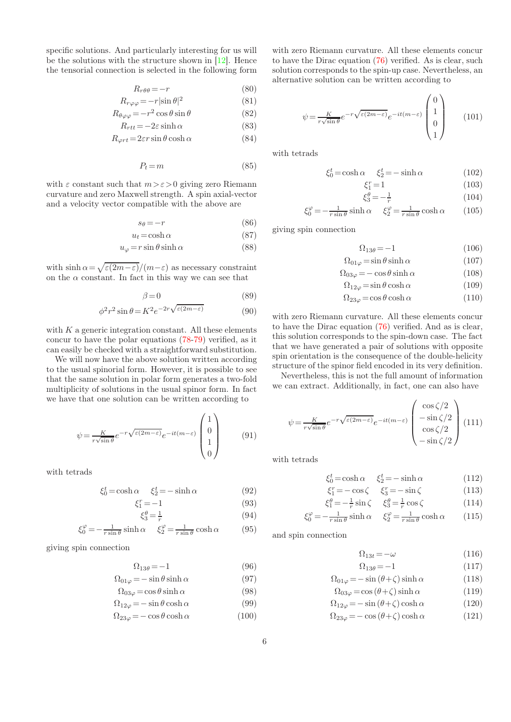specific solutions. And particularly interesting for us will be the solutions with the structure shown in [\[12\]](#page-8-11). Hence the tensorial connection is selected in the following form

$$
R_{r\theta\theta} = -r \tag{80}
$$

$$
R_{r\varphi\varphi} = -r|\sin\theta|^2\tag{81}
$$

$$
R_{\theta\varphi\varphi} = -r^2 \cos\theta \sin\theta \tag{82}
$$

$$
R_{rtt} = -2\varepsilon \sinh \alpha \tag{83}
$$

$$
R_{\varphi rt} = 2\varepsilon r \sin \theta \cosh \alpha \tag{84}
$$

$$
P_t = m \tag{85}
$$

with  $\varepsilon$  constant such that  $m > \varepsilon > 0$  giving zero Riemann curvature and zero Maxwell strength. A spin axial-vector and a velocity vector compatible with the above are

$$
s_{\theta} = -r \tag{86}
$$

$$
u_t = \cosh \alpha \tag{87}
$$

$$
u_{\varphi} = r \sin \theta \sinh \alpha \tag{88}
$$

with  $\sinh \alpha = \sqrt{\varepsilon (2m-\varepsilon)}/(m-\varepsilon)$  as necessary constraint on the  $\alpha$  constant. In fact in this way we can see that

$$
\beta = 0 \tag{89}
$$

$$
\phi^2 r^2 \sin \theta = K^2 e^{-2r \sqrt{\varepsilon (2m - \varepsilon)}} \tag{90}
$$

with  $K$  a generic integration constant. All these elements concur to have the polar equations [\(78-79\)](#page-4-0) verified, as it can easily be checked with a straightforward substitution.

We will now have the above solution written according to the usual spinorial form. However, it is possible to see that the same solution in polar form generates a two-fold multiplicity of solutions in the usual spinor form. In fact we have that one solution can be written according to

<span id="page-5-2"></span>
$$
\psi = \frac{K}{r\sqrt{\sin\theta}} e^{-r\sqrt{\varepsilon(2m-\varepsilon)}} e^{-it(m-\varepsilon)} \begin{pmatrix} 1\\0\\1\\0 \end{pmatrix}
$$
(91)

with tetrads

$$
\xi_0^t = \cosh \alpha \qquad \xi_2^t = -\sinh \alpha \tag{92}
$$

$$
\xi_1^r = -1\tag{93}
$$

$$
\xi_3^{\theta} = \frac{1}{r} \tag{94}
$$

$$
\xi_0^{\varphi} = -\frac{1}{r\sin\theta}\sinh\alpha \quad \xi_2^{\varphi} = \frac{1}{r\sin\theta}\cosh\alpha \quad (95)
$$

giving spin connection

$$
\Omega_{13\theta} = -1 \tag{96}
$$

<span id="page-5-3"></span>
$$
\Omega_{01\varphi} = -\sin\theta\sinh\alpha\tag{97}
$$

$$
\Omega_{03\varphi} = \cos\theta \sinh\alpha \tag{98}
$$

$$
\Omega_{12\varphi} = -\sin\theta\cosh\alpha\tag{99}
$$

$$
\Omega_{23\varphi} = -\cos\theta\cosh\alpha\tag{100}
$$

with zero Riemann curvature. All these elements concur to have the Dirac equation [\(76\)](#page-4-1) verified. As is clear, such solution corresponds to the spin-up case. Nevertheless, an alternative solution can be written according to

<span id="page-5-4"></span>
$$
\psi = \frac{K}{r\sqrt{\sin\theta}} e^{-r\sqrt{\varepsilon(2m-\varepsilon)}} e^{-it(m-\varepsilon)} \begin{pmatrix} 0\\1\\0\\1 \end{pmatrix}
$$
 (101)

with tetrads

$$
\xi_0^t = \cosh \alpha \qquad \xi_2^t = -\sinh \alpha \tag{102}
$$

$$
\xi_1^r = 1\tag{103}
$$

$$
\xi_3^{\theta} = -\frac{1}{r} \tag{104}
$$

$$
\xi_0^{\varphi} = -\frac{1}{r \sin \theta} \sinh \alpha \quad \xi_2^{\varphi} = \frac{1}{r \sin \theta} \cosh \alpha \quad (105)
$$

giving spin connection

$$
\Omega_{13\theta} = -1\tag{106}
$$

<span id="page-5-5"></span>
$$
\Omega_{01\varphi} = \sin\theta \sinh\alpha \tag{107}
$$

$$
\Omega_{03\varphi} = -\cos\theta\sinh\alpha\tag{108}
$$

$$
\Omega_{12\varphi} = \sin \theta \cosh \alpha \tag{109}
$$

$$
\Omega_{23\varphi} = \cos\theta\cosh\alpha\tag{110}
$$

with zero Riemann curvature. All these elements concur to have the Dirac equation [\(76\)](#page-4-1) verified. And as is clear, this solution corresponds to the spin-down case. The fact that we have generated a pair of solutions with opposite spin orientation is the consequence of the double-helicity structure of the spinor field encoded in its very definition.

Nevertheless, this is not the full amount of information we can extract. Additionally, in fact, one can also have

<span id="page-5-0"></span>
$$
\psi = \frac{K}{r\sqrt{\sin\theta}} e^{-r\sqrt{\varepsilon(2m-\varepsilon)}} e^{-it(m-\varepsilon)} \begin{pmatrix} \cos\zeta/2\\ -\sin\zeta/2\\ \cos\zeta/2\\ -\sin\zeta/2 \end{pmatrix} (111)
$$

with tetrads

$$
\xi_0^t = \cosh \alpha \qquad \xi_2^t = -\sinh \alpha \tag{112}
$$

$$
\xi_1^r = -\cos\zeta \qquad \xi_3^r = -\sin\zeta \tag{113}
$$

$$
\xi_1^{\theta} = -\frac{1}{r}\sin\zeta \quad \xi_3^{\theta} = \frac{1}{r}\cos\zeta \tag{114}
$$

$$
\xi_0^{\varphi} = -\frac{1}{r \sin \theta} \sinh \alpha \qquad \xi_2^{\varphi} = \frac{1}{r \sin \theta} \cosh \alpha \qquad (115)
$$

and spin connection

<span id="page-5-1"></span> $\Omega_{13t} = -\omega$  (116)

$$
\Omega_{13\theta} = -1 \tag{117}
$$
\n
$$
\therefore (\theta + \zeta) = 1 \tag{118}
$$

$$
\Omega_{01\varphi} = -\sin\left(\theta + \zeta\right)\sinh\alpha\tag{118}
$$

$$
\Omega_{03\varphi} = \cos(\theta + \zeta)\sinh\alpha\tag{119}
$$

- $\Omega_{12\varphi} = -\sin(\theta + \zeta)\cosh\alpha$  (120)
- $\Omega_{23\varphi} = -\cos(\theta + \zeta)\cosh\alpha$  (121)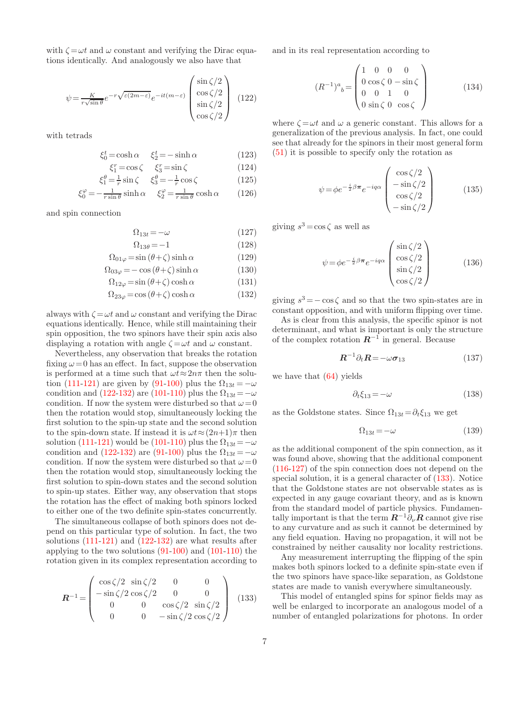with  $\zeta = \omega t$  and  $\omega$  constant and verifying the Dirac equations identically. And analogously we also have that

<span id="page-6-0"></span>
$$
\psi = \frac{K}{r\sqrt{\sin\theta}} e^{-r\sqrt{\varepsilon(2m-\varepsilon)}} e^{-it(m-\varepsilon)} \begin{pmatrix} \sin\zeta/2\\ \cos\zeta/2\\ \sin\zeta/2\\ \cos\zeta/2 \end{pmatrix}
$$
 (122)

with tetrads

$$
\xi_0^t = \cosh \alpha \qquad \xi_2^t = -\sinh \alpha \tag{123}
$$

$$
\xi_1^r = \cos \zeta \qquad \xi_3^r = \sin \zeta \tag{124}
$$

$$
\xi_1^{\theta} = \frac{1}{r} \sin \zeta \quad \xi_3^{\theta} = -\frac{1}{r} \cos \zeta \tag{125}
$$

$$
\xi_0^{\varphi} = -\frac{1}{r \sin \theta} \sinh \alpha \quad \xi_2^{\varphi} = \frac{1}{r \sin \theta} \cosh \alpha \quad (126)
$$

and spin connection

$$
\Omega_{13t} = -\omega \tag{127}
$$

$$
\Omega_{13\theta} = -1 \tag{128}
$$

<span id="page-6-1"></span>
$$
\Omega_{01\varphi} = \sin(\theta + \zeta)\sinh\alpha \tag{129}
$$

$$
\Omega_{03\varphi} = -\cos\left(\theta + \zeta\right)\sinh\alpha\tag{130}
$$

$$
\Omega_{12\varphi} = \sin(\theta + \zeta)\cosh\alpha \tag{131}
$$

$$
\Omega_{23\varphi} = \cos(\theta + \zeta)\cosh\alpha \tag{132}
$$

always with  $\zeta = \omega t$  and  $\omega$  constant and verifying the Dirac equations identically. Hence, while still maintaining their spin opposition, the two spinors have their spin axis also displaying a rotation with angle  $\zeta = \omega t$  and  $\omega$  constant.

Nevertheless, any observation that breaks the rotation fixing  $\omega = 0$  has an effect. In fact, suppose the observation is performed at a time such that  $\omega t \approx 2n\pi$  then the solu-tion [\(111-](#page-5-0)[121\)](#page-5-1) are given by [\(91-](#page-5-2)[100\)](#page-5-3) plus the  $\Omega_{13t} = -\omega$ condition and [\(122-](#page-6-0)[132\)](#page-6-1) are [\(101-](#page-5-4)[110\)](#page-5-5) plus the  $\Omega_{13t} = -\omega$ condition. If now the system were disturbed so that  $\omega = 0$ then the rotation would stop, simultaneously locking the first solution to the spin-up state and the second solution to the spin-down state. If instead it is  $\omega t \approx (2n+1)\pi$  then solution [\(111](#page-5-0)[-121\)](#page-5-1) would be [\(101-](#page-5-4)[110\)](#page-5-5) plus the  $\Omega_{13t} = -\omega$ condition and [\(122-](#page-6-0)[132\)](#page-6-1) are [\(91](#page-5-2)[-100\)](#page-5-3) plus the  $\Omega_{13t} = -\omega$ condition. If now the system were disturbed so that  $\omega = 0$ then the rotation would stop, simultaneously locking the first solution to spin-down states and the second solution to spin-up states. Either way, any observation that stops the rotation has the effect of making both spinors locked to either one of the two definite spin-states concurrently.

The simultaneous collapse of both spinors does not depend on this particular type of solution. In fact, the two solutions [\(111-](#page-5-0)[121\)](#page-5-1) and [\(122-](#page-6-0)[132\)](#page-6-1) are what results after applying to the two solutions [\(91](#page-5-2)[-100\)](#page-5-3) and [\(101-](#page-5-4)[110\)](#page-5-5) the rotation given in its complex representation according to

<span id="page-6-2"></span>
$$
\boldsymbol{R}^{-1} = \begin{pmatrix} \cos \zeta/2 & \sin \zeta/2 & 0 & 0\\ -\sin \zeta/2 & \cos \zeta/2 & 0 & 0\\ 0 & 0 & \cos \zeta/2 & \sin \zeta/2\\ 0 & 0 & -\sin \zeta/2 & \cos \zeta/2 \end{pmatrix}
$$
(133)

and in its real representation according to

<span id="page-6-3"></span>
$$
(R^{-1})^a{}_b = \begin{pmatrix} 1 & 0 & 0 & 0 \\ 0 & \cos\zeta & 0 & -\sin\zeta \\ 0 & 0 & 1 & 0 \\ 0 & \sin\zeta & 0 & \cos\zeta \end{pmatrix}
$$
 (134)

where  $\zeta = \omega t$  and  $\omega$  a generic constant. This allows for a generalization of the previous analysis. In fact, one could see that already for the spinors in their most general form [\(51\)](#page-3-0) it is possible to specify only the rotation as

$$
\psi = \phi e^{-\frac{i}{2}\beta\pi} e^{-iq\alpha} \begin{pmatrix} \cos\zeta/2\\ -\sin\zeta/2\\ \cos\zeta/2\\ -\sin\zeta/2 \end{pmatrix}
$$
(135)

giving  $s^3 = \cos \zeta$  as well as

$$
\psi = \phi e^{-\frac{i}{2}\beta\pi} e^{-iq\alpha} \begin{pmatrix} \sin\zeta/2\\ \cos\zeta/2\\ \sin\zeta/2\\ \cos\zeta/2 \end{pmatrix}
$$
 (136)

giving  $s^3 = -\cos\zeta$  and so that the two spin-states are in constant opposition, and with uniform flipping over time.

As is clear from this analysis, the specific spinor is not determinant, and what is important is only the structure of the complex rotation  $R^{-1}$  in general. Because

$$
R^{-1}\partial_t R = -\omega \sigma_{13} \tag{137}
$$

we have that  $(64)$  yields

$$
\partial_t \xi_{13} = -\omega \tag{138}
$$

as the Goldstone states. Since  $\Omega_{13t} = \partial_t \xi_{13}$  we get

$$
\Omega_{13t} = -\omega \tag{139}
$$

as the additional component of the spin connection, as it was found above, showing that the additional component [\(116](#page-5-1)[-127\)](#page-6-1) of the spin connection does not depend on the special solution, it is a general character of [\(133\)](#page-6-2). Notice that the Goldstone states are not observable states as is expected in any gauge covariant theory, and as is known from the standard model of particle physics. Fundamentally important is that the term  $\mathbf{R}^{-1} \partial_{\nu} \mathbf{R}$  cannot give rise to any curvature and as such it cannot be determined by any field equation. Having no propagation, it will not be constrained by neither causality nor locality restrictions.

Any measurement interrupting the flipping of the spin makes both spinors locked to a definite spin-state even if the two spinors have space-like separation, as Goldstone states are made to vanish everywhere simultaneously.

This model of entangled spins for spinor fields may as well be enlarged to incorporate an analogous model of a number of entangled polarizations for photons. In order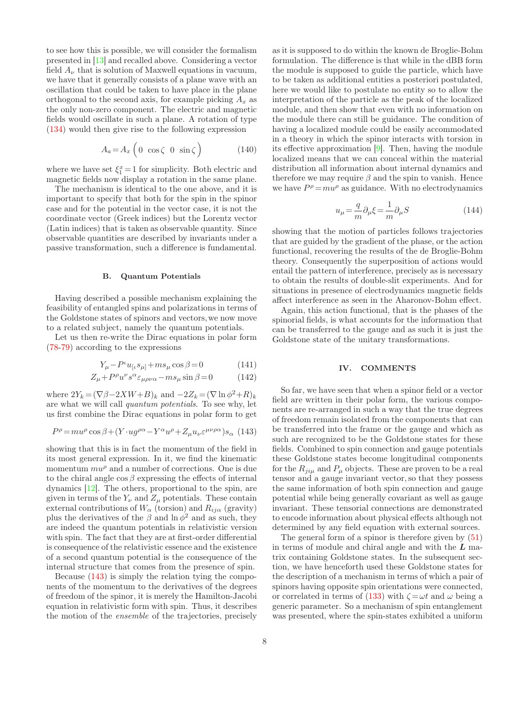to see how this is possible, we will consider the formalism presented in [\[13\]](#page-8-13) and recalled above. Considering a vector field  $A_{\nu}$  that is solution of Maxwell equations in vacuum, we have that it generally consists of a plane wave with an oscillation that could be taken to have place in the plane orthogonal to the second axis, for example picking  $A_x$  as the only non-zero component. The electric and magnetic fields would oscillate in such a plane. A rotation of type [\(134\)](#page-6-3) would then give rise to the following expression

$$
A_a = A_x \left( 0 \cos \zeta \ 0 \ \sin \zeta \right) \tag{140}
$$

where we have set  $\xi_1^x = 1$  for simplicity. Both electric and magnetic fields now display a rotation in the same plane.

The mechanism is identical to the one above, and it is important to specify that both for the spin in the spinor case and for the potential in the vector case, it is not the coordinate vector (Greek indices) but the Lorentz vector (Latin indices) that is taken as observable quantity. Since observable quantities are described by invariants under a passive transformation, such a difference is fundamental.

# B. Quantum Potentials

Having described a possible mechanism explaining the feasibility of entangled spins and polarizations in terms of the Goldstone states of spinors and vectors,we now move to a related subject, namely the quantum potentials.

Let us then re-write the Dirac equations in polar form [\(78-79\)](#page-4-0) according to the expressions

$$
Y_{\mu} - P^{\iota} u_{\left[\iota \right.} s_{\mu\left]} + m s_{\mu} \cos \beta = 0 \tag{141}
$$

$$
Z_{\mu} + P^{\rho} u^{\nu} s^{\alpha} \varepsilon_{\mu \rho \nu \alpha} - m s_{\mu} \sin \beta = 0 \tag{142}
$$

where  $2Y_k = (\nabla \beta - 2XW + B)_k$  and  $-2Z_k = (\nabla \ln \phi^2 + R)_k$ are what we will call quantum potentials. To see why, let us first combine the Dirac equations in polar form to get

<span id="page-7-0"></span>
$$
P^{\rho} = m u^{\rho} \cos \beta + (Y \cdot u g^{\rho \alpha} - Y^{\alpha} u^{\rho} + Z_{\mu} u_{\nu} \varepsilon^{\mu \nu \rho \alpha}) s_{\alpha} \tag{143}
$$

showing that this is in fact the momentum of the field in its most general expression. In it, we find the kinematic momentum  $mu^{\rho}$  and a number of corrections. One is due to the chiral angle  $\cos \beta$  expressing the effects of internal dynamics [\[12\]](#page-8-11). The others, proportional to the spin, are given in terms of the  $Y_{\nu}$  and  $Z_{\mu}$  potentials. These contain external contributions of  $W_{\alpha}$  (torsion) and  $R_{ij\alpha}$  (gravity) plus the derivatives of the  $\beta$  and  $\ln \phi^2$  and as such, they are indeed the quantum potentials in relativistic version with spin. The fact that they are at first-order differential is consequence of the relativistic essence and the existence of a second quantum potential is the consequence of the internal structure that comes from the presence of spin.

Because [\(143\)](#page-7-0) is simply the relation tying the components of the momentum to the derivatives of the degrees of freedom of the spinor, it is merely the Hamilton-Jacobi equation in relativistic form with spin. Thus, it describes the motion of the ensemble of the trajectories, precisely

as it is supposed to do within the known de Broglie-Bohm formulation. The difference is that while in the dBB form the module is supposed to guide the particle, which have to be taken as additional entities a posteriori postulated, here we would like to postulate no entity so to allow the interpretation of the particle as the peak of the localized module, and then show that even with no information on the module there can still be guidance. The condition of having a localized module could be easily accommodated in a theory in which the spinor interacts with torsion in its effective approximation [\[9\]](#page-8-8). Then, having the module localized means that we can conceal within the material distribution all information about internal dynamics and therefore we may require  $\beta$  and the spin to vanish. Hence we have  $P^{\rho} = m u^{\rho}$  as guidance. With no electrodynamics

$$
u_{\mu} = -\frac{q}{m}\partial_{\mu}\xi = -\frac{1}{m}\partial_{\mu}S\tag{144}
$$

showing that the motion of particles follows trajectories that are guided by the gradient of the phase, or the action functional, recovering the results of the de Broglie-Bohm theory. Consequently the superposition of actions would entail the pattern of interference, precisely as is necessary to obtain the results of double-slit experiments. And for situations in presence of electrodynamics magnetic fields affect interference as seen in the Aharonov-Bohm effect.

Again, this action functional, that is the phases of the spinorial fields, is what accounts for the information that can be transferred to the gauge and as such it is just the Goldstone state of the unitary transformations.

# IV. COMMENTS

So far, we have seen that when a spinor field or a vector field are written in their polar form, the various components are re-arranged in such a way that the true degrees of freedom remain isolated from the components that can be transferred into the frame or the gauge and which as such are recognized to be the Goldstone states for these fields. Combined to spin connection and gauge potentials these Goldstone states become longitudinal components for the  $R_{ii\mu}$  and  $P_{\mu}$  objects. These are proven to be a real tensor and a gauge invariant vector, so that they possess the same information of both spin connection and gauge potential while being generally covariant as well as gauge invariant. These tensorial connections are demonstrated to encode information about physical effects although not determined by any field equation with external sources.

The general form of a spinor is therefore given by [\(51\)](#page-3-0) in terms of module and chiral angle and with the  $L$  matrix containing Goldstone states. In the subsequent section, we have henceforth used these Goldstone states for the description of a mechanism in terms of which a pair of spinors having opposite spin orientations were connected, or correlated in terms of [\(133\)](#page-6-2) with  $\zeta = \omega t$  and  $\omega$  being a generic parameter. So a mechanism of spin entanglement was presented, where the spin-states exhibited a uniform